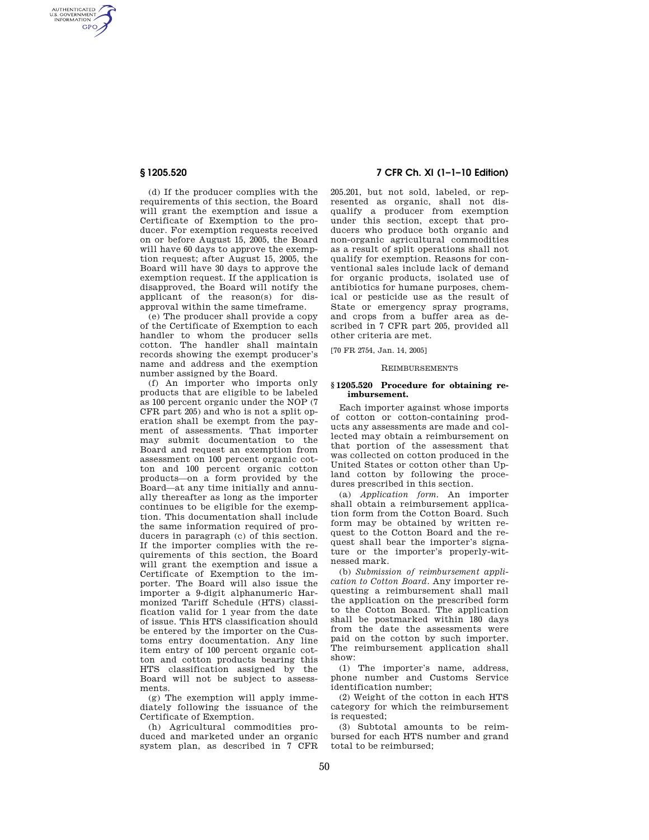AUTHENTICATED<br>U.S. GOVERNMENT<br>INFORMATION **GPO** 

> (d) If the producer complies with the requirements of this section, the Board will grant the exemption and issue a Certificate of Exemption to the producer. For exemption requests received on or before August 15, 2005, the Board will have 60 days to approve the exemption request; after August 15, 2005, the Board will have 30 days to approve the exemption request. If the application is disapproved, the Board will notify the applicant of the reason(s) for disapproval within the same timeframe.

> (e) The producer shall provide a copy of the Certificate of Exemption to each handler to whom the producer sells cotton. The handler shall maintain records showing the exempt producer's name and address and the exemption number assigned by the Board.

(f) An importer who imports only products that are eligible to be labeled as 100 percent organic under the NOP (7 CFR part 205) and who is not a split operation shall be exempt from the payment of assessments. That importer may submit documentation to the Board and request an exemption from assessment on 100 percent organic cotton and 100 percent organic cotton products—on a form provided by the Board—at any time initially and annually thereafter as long as the importer continues to be eligible for the exemption. This documentation shall include the same information required of producers in paragraph (c) of this section. If the importer complies with the requirements of this section, the Board will grant the exemption and issue a Certificate of Exemption to the importer. The Board will also issue the importer a 9-digit alphanumeric Harmonized Tariff Schedule (HTS) classification valid for 1 year from the date of issue. This HTS classification should be entered by the importer on the Customs entry documentation. Any line item entry of 100 percent organic cotton and cotton products bearing this HTS classification assigned by the Board will not be subject to assessments.

 $(g)$  The exemption will apply immediately following the issuance of the Certificate of Exemption.

(h) Agricultural commodities produced and marketed under an organic system plan, as described in 7 CFR

# **§ 1205.520 7 CFR Ch. XI (1–1–10 Edition)**

205.201, but not sold, labeled, or represented as organic, shall not disqualify a producer from exemption under this section, except that producers who produce both organic and non-organic agricultural commodities as a result of split operations shall not qualify for exemption. Reasons for conventional sales include lack of demand for organic products, isolated use of antibiotics for humane purposes, chemical or pesticide use as the result of State or emergency spray programs, and crops from a buffer area as described in 7 CFR part 205, provided all other criteria are met.

[70 FR 2754, Jan. 14, 2005]

#### **REIMBURSEMENTS**

#### **§ 1205.520 Procedure for obtaining reimbursement.**

Each importer against whose imports of cotton or cotton-containing products any assessments are made and collected may obtain a reimbursement on that portion of the assessment that was collected on cotton produced in the United States or cotton other than Upland cotton by following the procedures prescribed in this section.

(a) *Application form.* An importer shall obtain a reimbursement application form from the Cotton Board. Such form may be obtained by written request to the Cotton Board and the request shall bear the importer's signature or the importer's properly-witnessed mark.

(b) *Submission of reimbursement application to Cotton Board.* Any importer requesting a reimbursement shall mail the application on the prescribed form to the Cotton Board. The application shall be postmarked within 180 days from the date the assessments were paid on the cotton by such importer. The reimbursement application shall show:

(1) The importer's name, address, phone number and Customs Service identification number;

(2) Weight of the cotton in each HTS category for which the reimbursement is requested;

(3) Subtotal amounts to be reimbursed for each HTS number and grand total to be reimbursed;